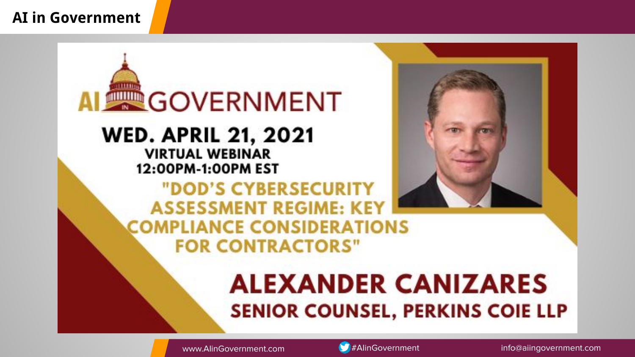#### **AI in Government**

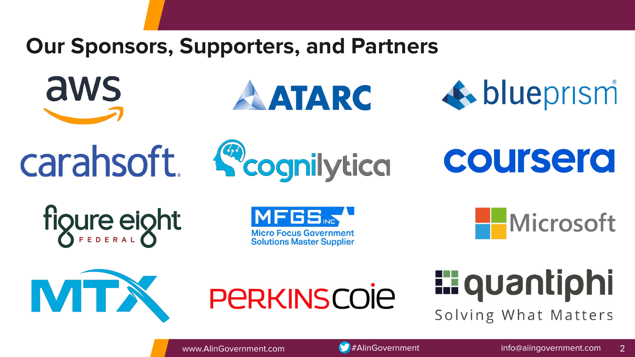# **Our Sponsors, Supporters, and Partners**



aws



**AATARC** 



figure eight

**MFGS Micro Focus Government Solutions Master Supplier**  Microsoft





**E** quantiphi Solving What Matters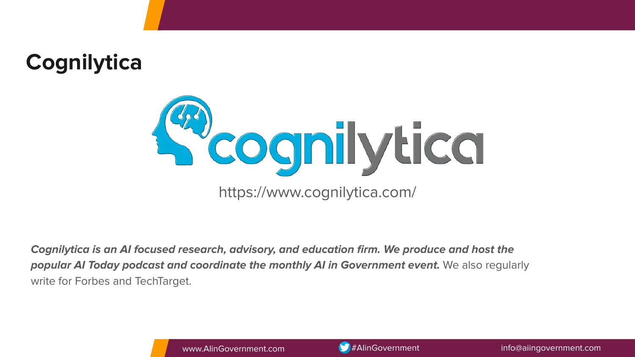



**Cognilytica is an AI focused research, advisory, and education firm. We produce and host the popular AI Today podcast and coordinate the monthly AI in Government event.** We also regularly write for Forbes and TechTarget.

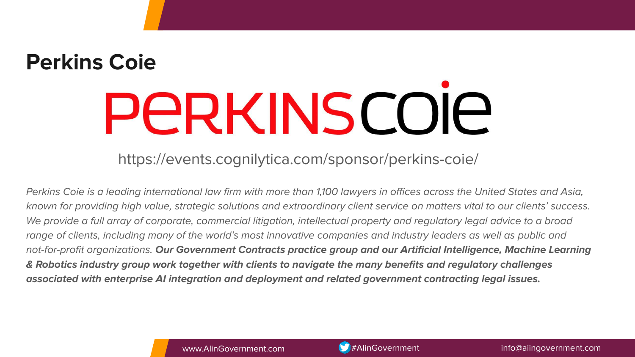# **Perkins Coie PERKINSCOIE**

https://events.cognilytica.com/sponsor/perkins-coie/

Perkins Coie is a leading international law firm with more than 1,100 lawyers in offices across the United States and Asia, known for providing high value, strategic solutions and extraordinary client service on matters vital to our clients' success. We provide a full array of corporate, commercial litigation, intellectual property and regulatory legal advice to a broad range of clients, including many of the world's most innovative companies and industry leaders as well as public and not-for-profit organizations. **Our Government Contracts practice group and our Artificial Intelligence, Machine Learning & Robotics industry group work together with clients to navigate the many benefits and regulatory challenges associated with enterprise AI integration and deployment and related government contracting legal issues.**

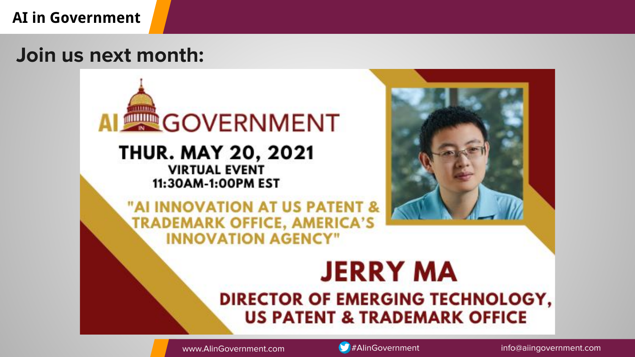### **AI in Government**

# **Join us next month:**





www.AlinGovernment.com **#AlinGovernment info@aiingovernment.com** info@aiingovernment.com